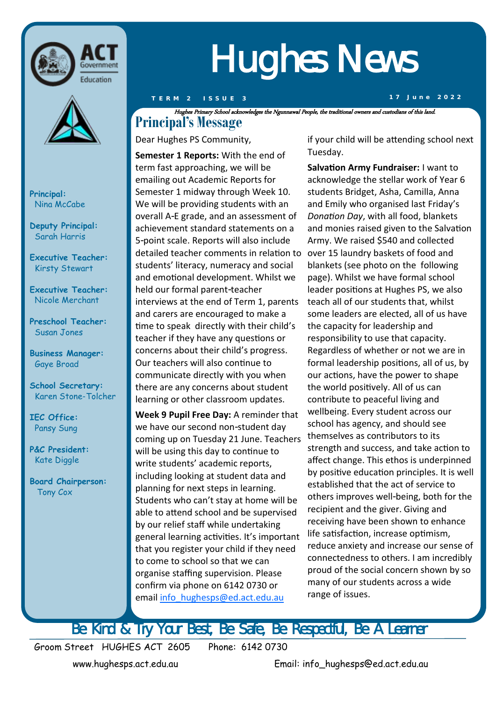



**Principal:**  Nina McCabe

**Deputy Principal:** Sarah Harris

**Executive Teacher:**  Kirsty Stewart

**Executive Teacher:**  Nicole Merchant

**Preschool Teacher:** Susan Jones

**Business Manager:** Gaye Broad

**School Secretary:**  Karen Stone-Tolcher

**IEC Office:** Pansy Sung

**P&C President:** Kate Diggle

**Board Chairperson:** Tony Cox

## Hughes News

**T E R M 2 I S S U E 3 1 7 J u n e 2 0 2 2**

**Principal's Message** Hughes Primary School acknowledges the Ngunnawal People, the traditional owners and custodians of this land.

Dear Hughes PS Community,

**Semester 1 Reports:** With the end of term fast approaching, we will be emailing out Academic Reports for Semester 1 midway through Week 10. We will be providing students with an overall A-E grade, and an assessment of achievement standard statements on a 5-point scale. Reports will also include detailed teacher comments in relation to over 15 laundry baskets of food and students' literacy, numeracy and social and emotional development. Whilst we held our formal parent-teacher interviews at the end of Term 1, parents and carers are encouraged to make a time to speak directly with their child's teacher if they have any questions or concerns about their child's progress. Our teachers will also continue to communicate directly with you when there are any concerns about student learning or other classroom updates.

**Week 9 Pupil Free Day:** A reminder that we have our second non-student day coming up on Tuesday 21 June. Teachers will be using this day to continue to write students' academic reports, including looking at student data and planning for next steps in learning. Students who can't stay at home will be able to attend school and be supervised by our relief staff while undertaking general learning activities. It's important that you register your child if they need to come to school so that we can organise staffing supervision. Please confirm via phone on 6142 0730 or email [info\\_hughesps@ed.act.edu.au](mailto:info_hughesps@ed.act.edu.au)

if your child will be attending school next Tuesday.

**Salvation Army Fundraiser:** I want to acknowledge the stellar work of Year 6 students Bridget, Asha, Camilla, Anna and Emily who organised last Friday's *Donation Day*, with all food, blankets and monies raised given to the Salvation Army. We raised \$540 and collected blankets (see photo on the following page). Whilst we have formal school leader positions at Hughes PS, we also teach all of our students that, whilst some leaders are elected, all of us have the capacity for leadership and responsibility to use that capacity. Regardless of whether or not we are in formal leadership positions, all of us, by our actions, have the power to shape the world positively. All of us can contribute to peaceful living and wellbeing. Every student across our school has agency, and should see themselves as contributors to its strength and success, and take action to affect change. This ethos is underpinned by positive education principles. It is well established that the act of service to others improves well-being, both for the recipient and the giver. Giving and receiving have been shown to enhance life satisfaction, increase optimism, reduce anxiety and increase our sense of connectedness to others. I am incredibly proud of the social concern shown by so many of our students across a wide range of issues.

Be Kind & Try Your Best, Be Safe, Be Respectful, Be A Learner

Groom Street HUGHES ACT 2605 Phone: 6142 0730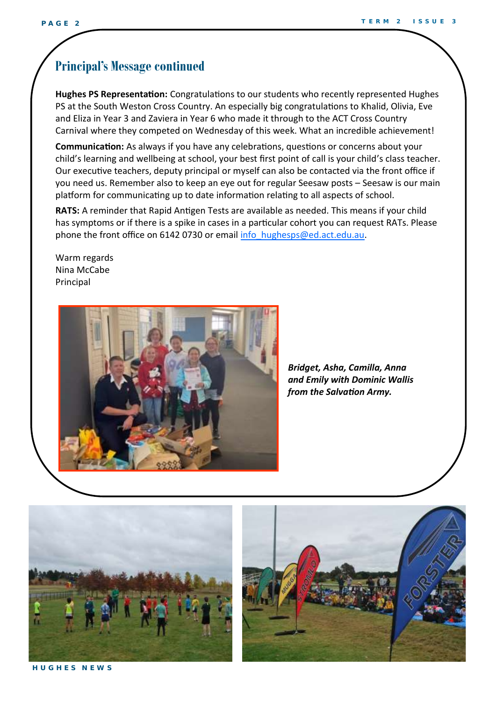#### **Principal's Message continued**

**Hughes PS Representation:** Congratulations to our students who recently represented Hughes PS at the South Weston Cross Country. An especially big congratulations to Khalid, Olivia, Eve and Eliza in Year 3 and Zaviera in Year 6 who made it through to the ACT Cross Country Carnival where they competed on Wednesday of this week. What an incredible achievement!

**Communication:** As always if you have any celebrations, questions or concerns about your child's learning and wellbeing at school, your best first point of call is your child's class teacher. Our executive teachers, deputy principal or myself can also be contacted via the front office if you need us. Remember also to keep an eye out for regular Seesaw posts – Seesaw is our main platform for communicating up to date information relating to all aspects of school.

**RATS:** A reminder that Rapid Antigen Tests are available as needed. This means if your child has symptoms or if there is a spike in cases in a particular cohort you can request RATs. Please phone the front office on 6142 0730 or email [info\\_hughesps@ed.act.edu.au.](mailto:info_hughesps@ed.act.edu.au)

Warm regards Nina McCabe Principal



 *Bridget, Asha, Camilla, Anna and Emily with Dominic Wallis from the Salvation Army.*





**H U G H E S N E W S**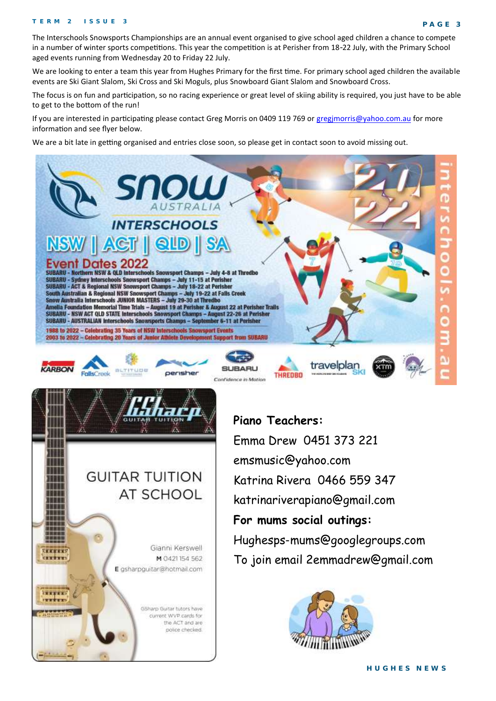The Interschools Snowsports Championships are an annual event organised to give school aged children a chance to compete in a number of winter sports competitions. This year the competition is at Perisher from 18-22 July, with the Primary School aged events running from Wednesday 20 to Friday 22 July.

We are looking to enter a team this year from Hughes Primary for the first time. For primary school aged children the available events are Ski Giant Slalom, Ski Cross and Ski Moguls, plus Snowboard Giant Slalom and Snowboard Cross.

The focus is on fun and participation, so no racing experience or great level of skiing ability is required, you just have to be able to get to the bottom of the run!

If you are interested in participating please contact Greg Morris on 0409 119 769 or gregimorris@yahoo.com.au for more information and see flyer below.

We are a bit late in getting organised and entries close soon, so please get in contact soon to avoid missing out.

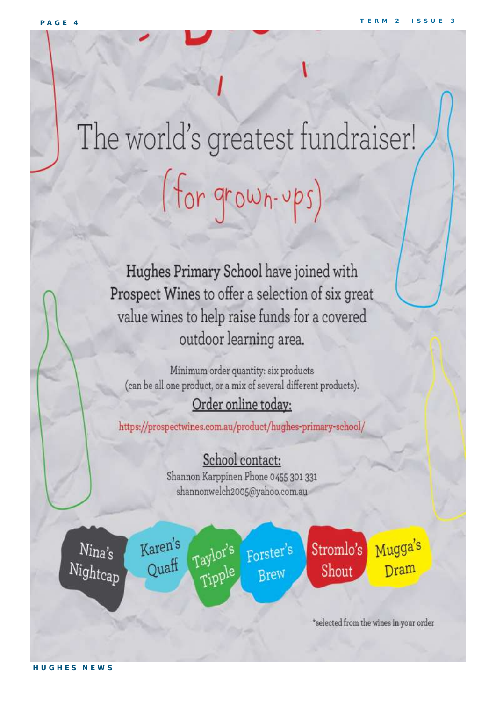# The world's greatest fundraiser! (for grown-ups)

Hughes Primary School have joined with Prospect Wines to offer a selection of six great value wines to help raise funds for a covered outdoor learning area.

Minimum order quantity: six products (can be all one product, or a mix of several different products).

#### Order online today:

https://prospectwines.com.au/product/hughes-primary-school/

#### School contact:

Shannon Karppinen Phone 0455 301 331 shannonwelch2005@yahoo.com.au

 $N$ ina's Nightcap Karen's Taylor's Quaff

Forster's Tipple Brew

Stromlo's Shout

Mugga's Dram

\*selected from the wines in your order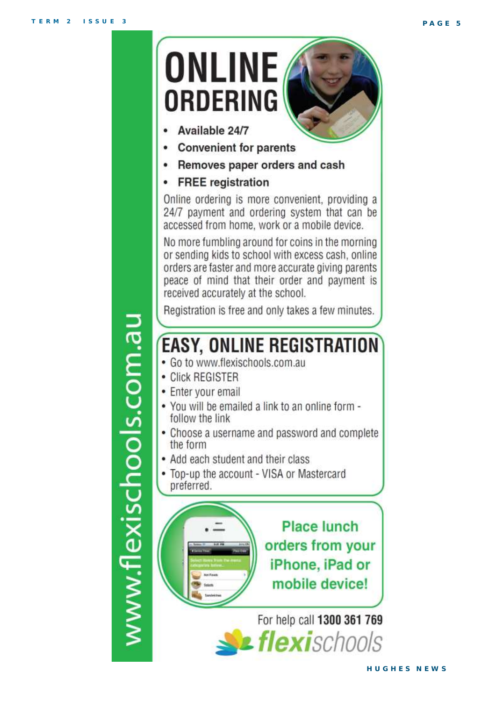

www.flexischools.com.au